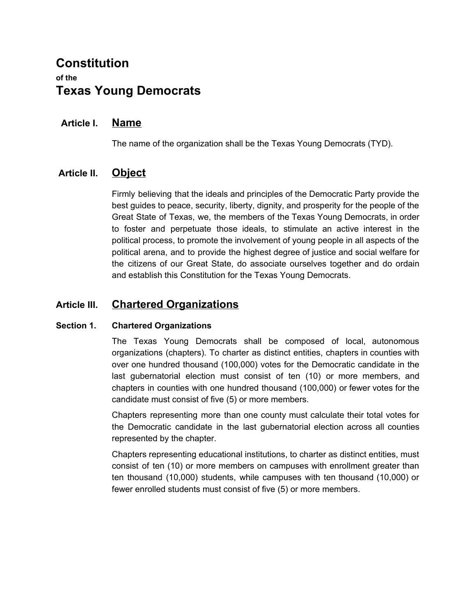# **Constitution of the Texas Young Democrats**

## **Article I. Name**

The name of the organization shall be the Texas Young Democrats (TYD).

## **Article II. Object**

Firmly believing that the ideals and principles of the Democratic Party provide the best guides to peace, security, liberty, dignity, and prosperity for the people of the Great State of Texas, we, the members of the Texas Young Democrats, in order to foster and perpetuate those ideals, to stimulate an active interest in the political process, to promote the involvement of young people in all aspects of the political arena, and to provide the highest degree of justice and social welfare for the citizens of our Great State, do associate ourselves together and do ordain and establish this Constitution for the Texas Young Democrats.

## **Article III. Chartered Organizations**

#### **Section 1. Chartered Organizations**

The Texas Young Democrats shall be composed of local, autonomous organizations (chapters). To charter as distinct entities, chapters in counties with over one hundred thousand (100,000) votes for the Democratic candidate in the last gubernatorial election must consist of ten (10) or more members, and chapters in counties with one hundred thousand (100,000) or fewer votes for the candidate must consist of five (5) or more members.

Chapters representing more than one county must calculate their total votes for the Democratic candidate in the last gubernatorial election across all counties represented by the chapter.

Chapters representing educational institutions, to charter as distinct entities, must consist of ten (10) or more members on campuses with enrollment greater than ten thousand (10,000) students, while campuses with ten thousand (10,000) or fewer enrolled students must consist of five (5) or more members.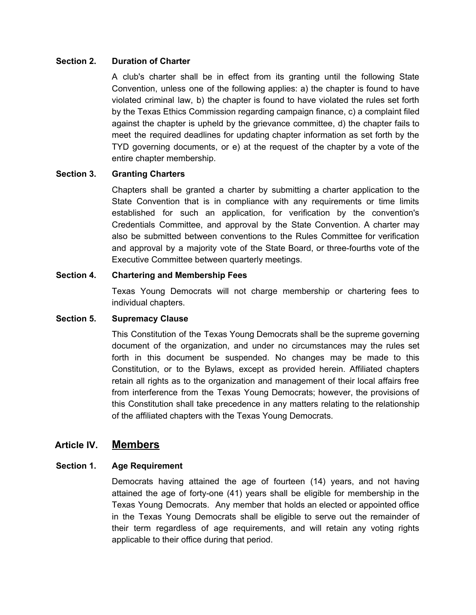#### **Section 2. Duration of Charter**

A club's charter shall be in effect from its granting until the following State Convention, unless one of the following applies: a) the chapter is found to have violated criminal law, b) the chapter is found to have violated the rules set forth by the Texas Ethics Commission regarding campaign finance, c) a complaint filed against the chapter is upheld by the grievance committee, d) the chapter fails to meet the required deadlines for updating chapter information as set forth by the TYD governing documents, or e) at the request of the chapter by a vote of the entire chapter membership.

#### **Section 3. Granting Charters**

Chapters shall be granted a charter by submitting a charter application to the State Convention that is in compliance with any requirements or time limits established for such an application, for verification by the convention's Credentials Committee, and approval by the State Convention. A charter may also be submitted between conventions to the Rules Committee for verification and approval by a majority vote of the State Board, or three-fourths vote of the Executive Committee between quarterly meetings.

#### **Section 4. Chartering and Membership Fees**

Texas Young Democrats will not charge membership or chartering fees to individual chapters.

#### **Section 5. Supremacy Clause**

This Constitution of the Texas Young Democrats shall be the supreme governing document of the organization, and under no circumstances may the rules set forth in this document be suspended. No changes may be made to this Constitution, or to the Bylaws, except as provided herein. Affiliated chapters retain all rights as to the organization and management of their local affairs free from interference from the Texas Young Democrats; however, the provisions of this Constitution shall take precedence in any matters relating to the relationship of the affiliated chapters with the Texas Young Democrats.

## **Article IV. Members**

### **Section 1. Age Requirement**

Democrats having attained the age of fourteen (14) years, and not having attained the age of forty-one (41) years shall be eligible for membership in the Texas Young Democrats. Any member that holds an elected or appointed office in the Texas Young Democrats shall be eligible to serve out the remainder of their term regardless of age requirements, and will retain any voting rights applicable to their office during that period.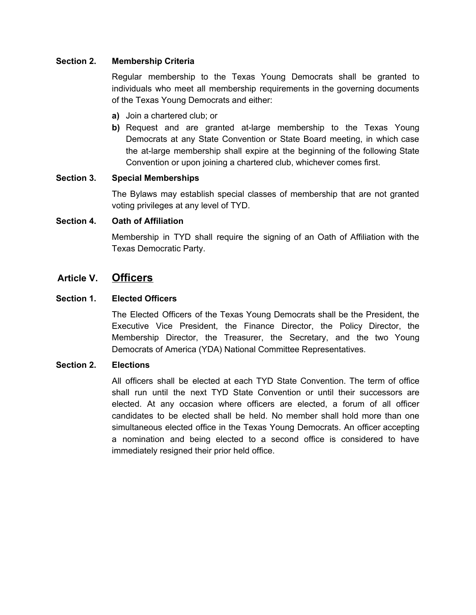#### **Section 2. Membership Criteria**

Regular membership to the Texas Young Democrats shall be granted to individuals who meet all membership requirements in the governing documents of the Texas Young Democrats and either:

- **a)** Join a chartered club; or
- **b)** Request and are granted at-large membership to the Texas Young Democrats at any State Convention or State Board meeting, in which case the at-large membership shall expire at the beginning of the following State Convention or upon joining a chartered club, whichever comes first.

#### **Section 3. Special Memberships**

The Bylaws may establish special classes of membership that are not granted voting privileges at any level of TYD.

#### **Section 4. Oath of Affiliation**

Membership in TYD shall require the signing of an Oath of Affiliation with the Texas Democratic Party.

### **Article V. Officers**

#### **Section 1. Elected Officers**

The Elected Officers of the Texas Young Democrats shall be the President, the Executive Vice President, the Finance Director, the Policy Director, the Membership Director, the Treasurer, the Secretary, and the two Young Democrats of America (YDA) National Committee Representatives.

#### **Section 2. Elections**

All officers shall be elected at each TYD State Convention. The term of office shall run until the next TYD State Convention or until their successors are elected. At any occasion where officers are elected, a forum of all officer candidates to be elected shall be held. No member shall hold more than one simultaneous elected office in the Texas Young Democrats. An officer accepting a nomination and being elected to a second office is considered to have immediately resigned their prior held office.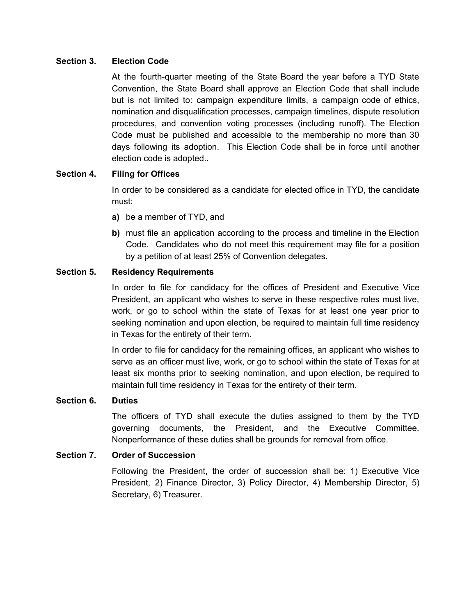#### **Section 3. Election Code**

At the fourth-quarter meeting of the State Board the year before a TYD State Convention, the State Board shall approve an Election Code that shall include but is not limited to: campaign expenditure limits, a campaign code of ethics, nomination and disqualification processes, campaign timelines, dispute resolution procedures, and convention voting processes (including runoff). The Election Code must be published and accessible to the membership no more than 30 days following its adoption. This Election Code shall be in force until another election code is adopted..

#### **Section 4. Filing for Offices**

In order to be considered as a candidate for elected office in TYD, the candidate must:

- **a)** be a member of TYD, and
- **b)** must file an application according to the process and timeline in the Election Code. Candidates who do not meet this requirement may file for a position by a petition of at least 25% of Convention delegates.

#### **Section 5. Residency Requirements**

In order to file for candidacy for the offices of President and Executive Vice President, an applicant who wishes to serve in these respective roles must live, work, or go to school within the state of Texas for at least one year prior to seeking nomination and upon election, be required to maintain full time residency in Texas for the entirety of their term.

In order to file for candidacy for the remaining offices, an applicant who wishes to serve as an officer must live, work, or go to school within the state of Texas for at least six months prior to seeking nomination, and upon election, be required to maintain full time residency in Texas for the entirety of their term.

#### **Section 6. Duties**

The officers of TYD shall execute the duties assigned to them by the TYD governing documents, the President, and the Executive Committee. Nonperformance of these duties shall be grounds for removal from office.

#### **Section 7. Order of Succession**

Following the President, the order of succession shall be: 1) Executive Vice President, 2) Finance Director, 3) Policy Director, 4) Membership Director, 5) Secretary, 6) Treasurer.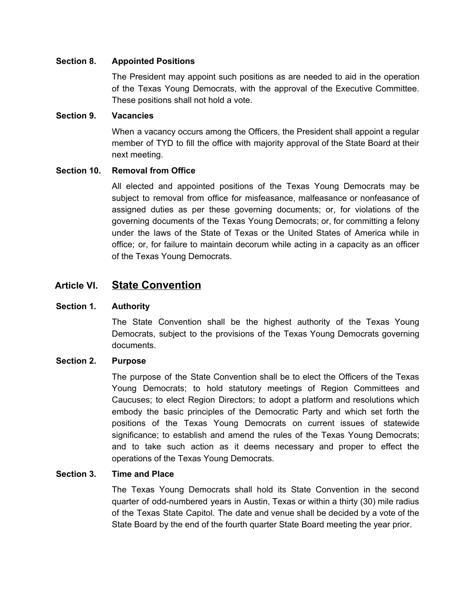#### **Section 8. Appointed Positions**

The President may appoint such positions as are needed to aid in the operation of the Texas Young Democrats, with the approval of the Executive Committee. These positions shall not hold a vote.

#### **Section 9. Vacancies**

When a vacancy occurs among the Officers, the President shall appoint a regular member of TYD to fill the office with majority approval of the State Board at their next meeting.

#### **Section 10. Removal from Office**

All elected and appointed positions of the Texas Young Democrats may be subject to removal from office for misfeasance, malfeasance or nonfeasance of assigned duties as per these governing documents; or, for violations of the governing documents of the Texas Young Democrats; or, for committing a felony under the laws of the State of Texas or the United States of America while in office; or, for failure to maintain decorum while acting in a capacity as an officer of the Texas Young Democrats.

### **Article VI. State Convention**

#### **Section 1. Authority**

The State Convention shall be the highest authority of the Texas Young Democrats, subject to the provisions of the Texas Young Democrats governing documents.

#### **Section 2. Purpose**

The purpose of the State Convention shall be to elect the Officers of the Texas Young Democrats; to hold statutory meetings of Region Committees and Caucuses; to elect Region Directors; to adopt a platform and resolutions which embody the basic principles of the Democratic Party and which set forth the positions of the Texas Young Democrats on current issues of statewide significance; to establish and amend the rules of the Texas Young Democrats; and to take such action as it deems necessary and proper to effect the operations of the Texas Young Democrats.

#### **Section 3. Time and Place**

The Texas Young Democrats shall hold its State Convention in the second quarter of odd-numbered years in Austin, Texas or within a thirty (30) mile radius of the Texas State Capitol. The date and venue shall be decided by a vote of the State Board by the end of the fourth quarter State Board meeting the year prior.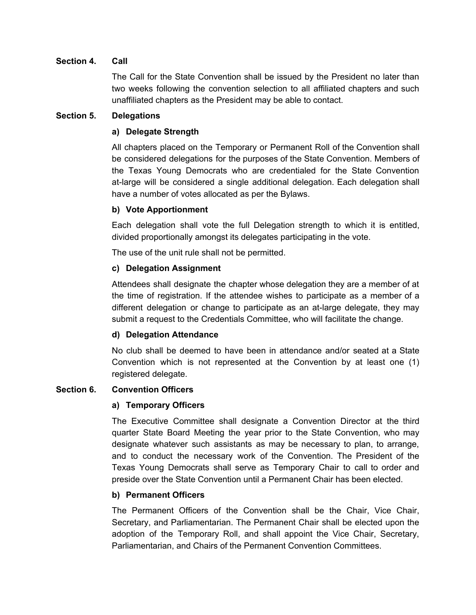#### **Section 4. Call**

The Call for the State Convention shall be issued by the President no later than two weeks following the convention selection to all affiliated chapters and such unaffiliated chapters as the President may be able to contact.

#### **Section 5. Delegations**

#### **a) Delegate Strength**

All chapters placed on the Temporary or Permanent Roll of the Convention shall be considered delegations for the purposes of the State Convention. Members of the Texas Young Democrats who are credentialed for the State Convention at-large will be considered a single additional delegation. Each delegation shall have a number of votes allocated as per the Bylaws.

#### **b) Vote Apportionment**

Each delegation shall vote the full Delegation strength to which it is entitled, divided proportionally amongst its delegates participating in the vote.

The use of the unit rule shall not be permitted.

#### **c) Delegation Assignment**

Attendees shall designate the chapter whose delegation they are a member of at the time of registration. If the attendee wishes to participate as a member of a different delegation or change to participate as an at-large delegate, they may submit a request to the Credentials Committee, who will facilitate the change.

#### **d) Delegation Attendance**

No club shall be deemed to have been in attendance and/or seated at a State Convention which is not represented at the Convention by at least one (1) registered delegate.

### **Section 6. Convention Officers**

#### **a) Temporary Officers**

The Executive Committee shall designate a Convention Director at the third quarter State Board Meeting the year prior to the State Convention, who may designate whatever such assistants as may be necessary to plan, to arrange, and to conduct the necessary work of the Convention. The President of the Texas Young Democrats shall serve as Temporary Chair to call to order and preside over the State Convention until a Permanent Chair has been elected.

#### **b) Permanent Officers**

The Permanent Officers of the Convention shall be the Chair, Vice Chair, Secretary, and Parliamentarian. The Permanent Chair shall be elected upon the adoption of the Temporary Roll, and shall appoint the Vice Chair, Secretary, Parliamentarian, and Chairs of the Permanent Convention Committees.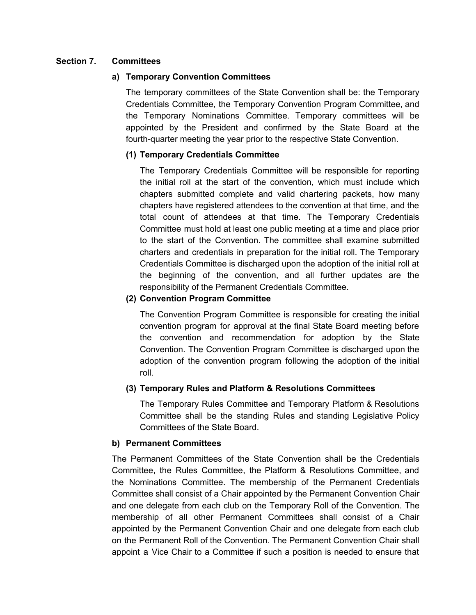#### **Section 7. Committees**

#### **a) Temporary Convention Committees**

The temporary committees of the State Convention shall be: the Temporary Credentials Committee, the Temporary Convention Program Committee, and the Temporary Nominations Committee. Temporary committees will be appointed by the President and confirmed by the State Board at the fourth-quarter meeting the year prior to the respective State Convention.

#### **(1) Temporary Credentials Committee**

The Temporary Credentials Committee will be responsible for reporting the initial roll at the start of the convention, which must include which chapters submitted complete and valid chartering packets, how many chapters have registered attendees to the convention at that time, and the total count of attendees at that time. The Temporary Credentials Committee must hold at least one public meeting at a time and place prior to the start of the Convention. The committee shall examine submitted charters and credentials in preparation for the initial roll. The Temporary Credentials Committee is discharged upon the adoption of the initial roll at the beginning of the convention, and all further updates are the responsibility of the Permanent Credentials Committee.

#### **(2) Convention Program Committee**

The Convention Program Committee is responsible for creating the initial convention program for approval at the final State Board meeting before the convention and recommendation for adoption by the State Convention. The Convention Program Committee is discharged upon the adoption of the convention program following the adoption of the initial roll.

#### **(3) Temporary Rules and Platform & Resolutions Committees**

The Temporary Rules Committee and Temporary Platform & Resolutions Committee shall be the standing Rules and standing Legislative Policy Committees of the State Board.

#### **b) Permanent Committees**

The Permanent Committees of the State Convention shall be the Credentials Committee, the Rules Committee, the Platform & Resolutions Committee, and the Nominations Committee. The membership of the Permanent Credentials Committee shall consist of a Chair appointed by the Permanent Convention Chair and one delegate from each club on the Temporary Roll of the Convention. The membership of all other Permanent Committees shall consist of a Chair appointed by the Permanent Convention Chair and one delegate from each club on the Permanent Roll of the Convention. The Permanent Convention Chair shall appoint a Vice Chair to a Committee if such a position is needed to ensure that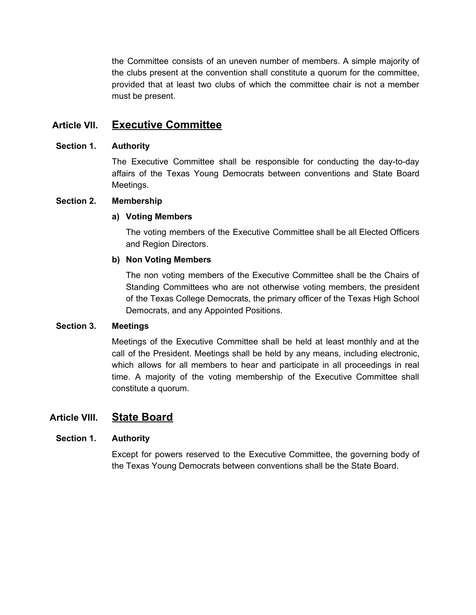the Committee consists of an uneven number of members. A simple majority of the clubs present at the convention shall constitute a quorum for the committee, provided that at least two clubs of which the committee chair is not a member must be present.

## **Article VII. Executive Committee**

#### **Section 1. Authority**

The Executive Committee shall be responsible for conducting the day-to-day affairs of the Texas Young Democrats between conventions and State Board Meetings.

#### **Section 2. Membership**

#### **a) Voting Members**

The voting members of the Executive Committee shall be all Elected Officers and Region Directors.

#### **b) Non Voting Members**

The non voting members of the Executive Committee shall be the Chairs of Standing Committees who are not otherwise voting members, the president of the Texas College Democrats, the primary officer of the Texas High School Democrats, and any Appointed Positions.

#### **Section 3. Meetings**

Meetings of the Executive Committee shall be held at least monthly and at the call of the President. Meetings shall be held by any means, including electronic, which allows for all members to hear and participate in all proceedings in real time. A majority of the voting membership of the Executive Committee shall constitute a quorum.

### **Article VIII. State Board**

#### **Section 1. Authority**

Except for powers reserved to the Executive Committee, the governing body of the Texas Young Democrats between conventions shall be the State Board.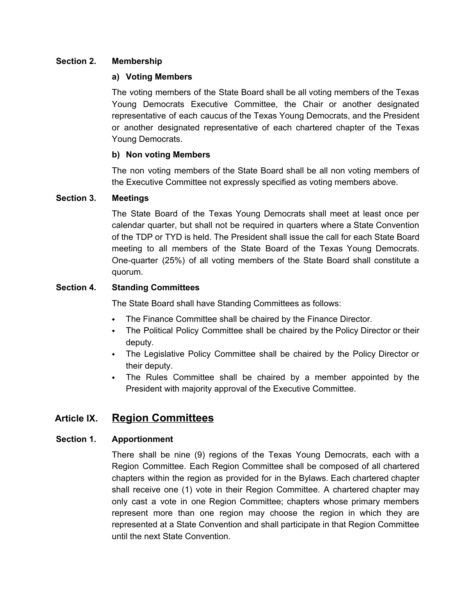#### **Section 2. Membership**

#### **a) Voting Members**

The voting members of the State Board shall be all voting members of the Texas Young Democrats Executive Committee, the Chair or another designated representative of each caucus of the Texas Young Democrats, and the President or another designated representative of each chartered chapter of the Texas Young Democrats.

#### **b) Non voting Members**

The non voting members of the State Board shall be all non voting members of the Executive Committee not expressly specified as voting members above.

#### **Section 3. Meetings**

The State Board of the Texas Young Democrats shall meet at least once per calendar quarter, but shall not be required in quarters where a State Convention of the TDP or TYD is held. The President shall issue the call for each State Board meeting to all members of the State Board of the Texas Young Democrats. One-quarter (25%) of all voting members of the State Board shall constitute a quorum.

#### **Section 4. Standing Committees**

The State Board shall have Standing Committees as follows:

- ⬩ The Finance Committee shall be chaired by the Finance Director.
- The Political Policy Committee shall be chaired by the Policy Director or their deputy.
- The Legislative Policy Committee shall be chaired by the Policy Director or their deputy.
- ⬩ The Rules Committee shall be chaired by a member appointed by the President with majority approval of the Executive Committee.

## **Article IX. Region Committees**

### **Section 1. Apportionment**

There shall be nine (9) regions of the Texas Young Democrats, each with a Region Committee. Each Region Committee shall be composed of all chartered chapters within the region as provided for in the Bylaws. Each chartered chapter shall receive one (1) vote in their Region Committee. A chartered chapter may only cast a vote in one Region Committee; chapters whose primary members represent more than one region may choose the region in which they are represented at a State Convention and shall participate in that Region Committee until the next State Convention.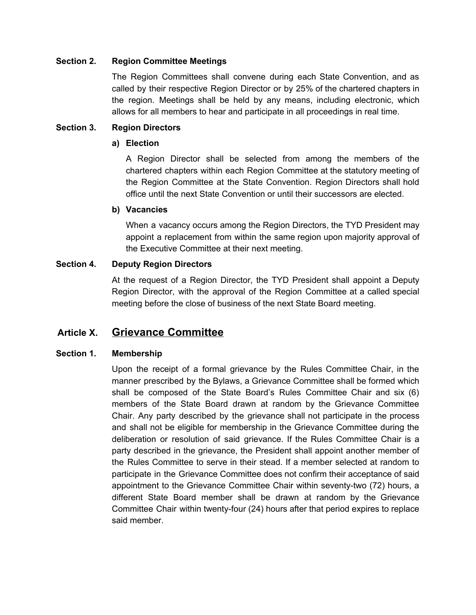#### **Section 2. Region Committee Meetings**

The Region Committees shall convene during each State Convention, and as called by their respective Region Director or by 25% of the chartered chapters in the region. Meetings shall be held by any means, including electronic, which allows for all members to hear and participate in all proceedings in real time.

#### **Section 3. Region Directors**

#### **a) Election**

A Region Director shall be selected from among the members of the chartered chapters within each Region Committee at the statutory meeting of the Region Committee at the State Convention. Region Directors shall hold office until the next State Convention or until their successors are elected.

#### **b) Vacancies**

When a vacancy occurs among the Region Directors, the TYD President may appoint a replacement from within the same region upon majority approval of the Executive Committee at their next meeting.

#### **Section 4. Deputy Region Directors**

At the request of a Region Director, the TYD President shall appoint a Deputy Region Director, with the approval of the Region Committee at a called special meeting before the close of business of the next State Board meeting.

## **Article X. Grievance Committee**

### **Section 1. Membership**

Upon the receipt of a formal grievance by the Rules Committee Chair, in the manner prescribed by the Bylaws, a Grievance Committee shall be formed which shall be composed of the State Board's Rules Committee Chair and six (6) members of the State Board drawn at random by the Grievance Committee Chair. Any party described by the grievance shall not participate in the process and shall not be eligible for membership in the Grievance Committee during the deliberation or resolution of said grievance. If the Rules Committee Chair is a party described in the grievance, the President shall appoint another member of the Rules Committee to serve in their stead. If a member selected at random to participate in the Grievance Committee does not confirm their acceptance of said appointment to the Grievance Committee Chair within seventy-two (72) hours, a different State Board member shall be drawn at random by the Grievance Committee Chair within twenty-four (24) hours after that period expires to replace said member.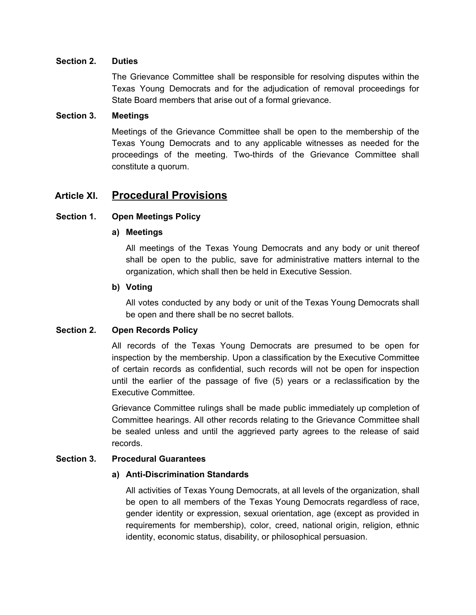#### **Section 2. Duties**

The Grievance Committee shall be responsible for resolving disputes within the Texas Young Democrats and for the adjudication of removal proceedings for State Board members that arise out of a formal grievance.

#### **Section 3. Meetings**

Meetings of the Grievance Committee shall be open to the membership of the Texas Young Democrats and to any applicable witnesses as needed for the proceedings of the meeting. Two-thirds of the Grievance Committee shall constitute a quorum.

## **Article XI. Procedural Provisions**

#### **Section 1. Open Meetings Policy**

#### **a) Meetings**

All meetings of the Texas Young Democrats and any body or unit thereof shall be open to the public, save for administrative matters internal to the organization, which shall then be held in Executive Session.

#### **b) Voting**

All votes conducted by any body or unit of the Texas Young Democrats shall be open and there shall be no secret ballots.

#### **Section 2. Open Records Policy**

All records of the Texas Young Democrats are presumed to be open for inspection by the membership. Upon a classification by the Executive Committee of certain records as confidential, such records will not be open for inspection until the earlier of the passage of five (5) years or a reclassification by the Executive Committee.

Grievance Committee rulings shall be made public immediately up completion of Committee hearings. All other records relating to the Grievance Committee shall be sealed unless and until the aggrieved party agrees to the release of said records.

#### **Section 3. Procedural Guarantees**

#### **a) Anti-Discrimination Standards**

All activities of Texas Young Democrats, at all levels of the organization, shall be open to all members of the Texas Young Democrats regardless of race, gender identity or expression, sexual orientation, age (except as provided in requirements for membership), color, creed, national origin, religion, ethnic identity, economic status, disability, or philosophical persuasion.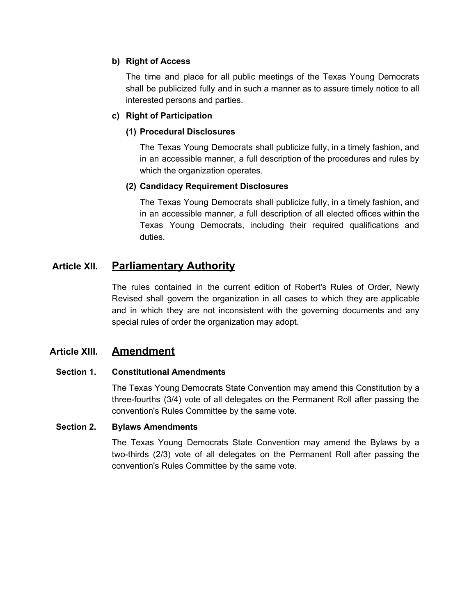#### **b) Right of Access**

The time and place for all public meetings of the Texas Young Democrats shall be publicized fully and in such a manner as to assure timely notice to all interested persons and parties.

#### **c) Right of Participation**

#### **(1) Procedural Disclosures**

The Texas Young Democrats shall publicize fully, in a timely fashion, and in an accessible manner, a full description of the procedures and rules by which the organization operates.

#### **(2) Candidacy Requirement Disclosures**

The Texas Young Democrats shall publicize fully, in a timely fashion, and in an accessible manner, a full description of all elected offices within the Texas Young Democrats, including their required qualifications and duties.

## **Article XII. Parliamentary Authority**

The rules contained in the current edition of Robert's Rules of Order, Newly Revised shall govern the organization in all cases to which they are applicable and in which they are not inconsistent with the governing documents and any special rules of order the organization may adopt.

## **Article XIII. Amendment**

#### **Section 1. Constitutional Amendments**

The Texas Young Democrats State Convention may amend this Constitution by a three-fourths (3/4) vote of all delegates on the Permanent Roll after passing the convention's Rules Committee by the same vote.

#### **Section 2. Bylaws Amendments**

The Texas Young Democrats State Convention may amend the Bylaws by a two-thirds (2/3) vote of all delegates on the Permanent Roll after passing the convention's Rules Committee by the same vote.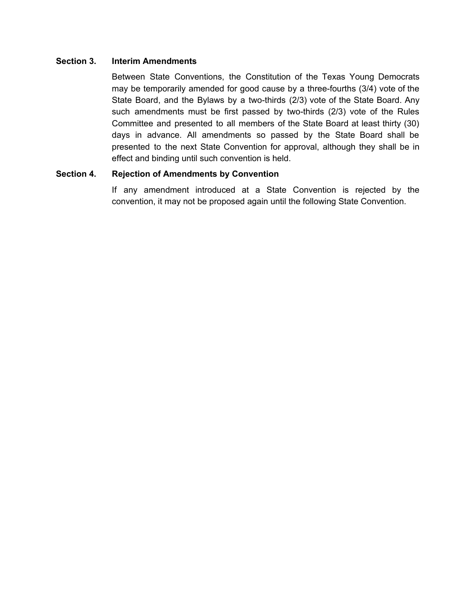#### **Section 3. Interim Amendments**

Between State Conventions, the Constitution of the Texas Young Democrats may be temporarily amended for good cause by a three-fourths (3/4) vote of the State Board, and the Bylaws by a two-thirds (2/3) vote of the State Board. Any such amendments must be first passed by two-thirds (2/3) vote of the Rules Committee and presented to all members of the State Board at least thirty (30) days in advance. All amendments so passed by the State Board shall be presented to the next State Convention for approval, although they shall be in effect and binding until such convention is held.

#### **Section 4. Rejection of Amendments by Convention**

If any amendment introduced at a State Convention is rejected by the convention, it may not be proposed again until the following State Convention.